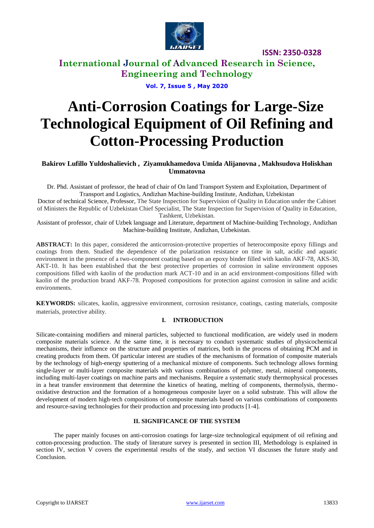

# **International Journal of Advanced Research in Science, Engineering and Technology**

**Vol. 7, Issue 5 , May 2020**

# **Anti-Corrosion Coatings for Large-Size Technological Equipment of Oil Refining and Cotton-Processing Production**

## **Bakirov Lufillo Yuldoshalievich , Ziyamukhamedova Umida Alijanovna , Makhsudova Holiskhan Ummatovna**

Dr. Phd. Assistant of professor, the head of chair of On land Transport System and Exploitation, Department of Transport and Logistics, Andizhan Machine-building Institute, Andizhan, Uzbekistan

Doctor of technical Science, Professor, The State Inspection for Supervision of Quality in Education under the Cabinet of Ministers the Republic of Uzbekistan Chief Specialist, The State Inspection for Supervision of Quality in Education, Tashkent, Uzbekistan.

Assistant of professor, chair of Uzbek language and Literature, department of Machine-building Technology, Andizhan Machine-building Institute, Andizhan, Uzbekistan.

**ABSTRACT:** In this paper, considered the anticorrosion-protective properties of heterocomposite epoxy fillings and coatings from them. Studied the dependence of the polarization resistance on time in salt, acidic and aquatic environment in the presence of a two-component coating based on an epoxy binder filled with kaolin AKF-78, AKS-30, AKT-10. It has been established that the best protective properties of corrosion in saline environment opposes compositions filled with kaolin of the production mark ACT-10 and in an acid environment-compositions filled with kaolin of the production brand AKF-78. Proposed compositions for protection against corrosion in saline and acidic environments.

**KEYWORDS:** silicates, kaolin, aggressive environment, corrosion resistance, coatings, casting materials, composite materials, protective ability*.*

## **I. INTRODUCTION**

Silicate-containing modifiers and mineral particles, subjected to functional modification, are widely used in modern composite materials science. At the same time, it is necessary to conduct systematic studies of physicochemical mechanisms, their influence on the structure and properties of matrices, both in the process of obtaining PCM and in creating products from them. Of particular interest are studies of the mechanisms of formation of composite materials by the technology of high-energy sputtering of a mechanical mixture of components. Such technology allows forming single-layer or multi-layer composite materials with various combinations of polymer, metal, mineral components, including multi-layer coatings on machine parts and mechanisms. Require a systematic study thermophysical processes in a heat transfer environment that determine the kinetics of heating, melting of components, thermolysis, thermooxidative destruction and the formation of a homogeneous composite layer on a solid substrate. This will allow the development of modern high-tech compositions of composite materials based on various combinations of components and resource-saving technologies for their production and processing into products [1-4].

## **II. SIGNIFICANCE OF THE SYSTEM**

The paper mainly focuses on anti-corrosion coatings for large-size technological equipment of oil refining and cotton-processing production. The study of literature survey is presented in section III, Methodology is explained in section IV, section V covers the experimental results of the study, and section VI discusses the future study and Conclusion.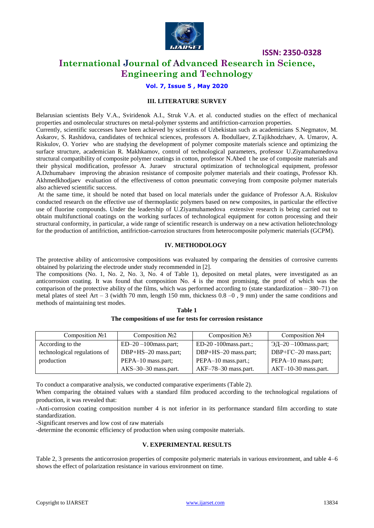

# **International Journal of Advanced Research in Science, Engineering and Technology**

## **Vol. 7, Issue 5 , May 2020**

#### **III. LITERATURE SURVEY**

Belarusian scientists Bely V.A., Sviridenok A.I., Struk V.A. et al. conducted studies on the effect of mechanical properties and osmolecular structures on metal-polymer systems and antifriction-carrozion properties.

Currently, scientific successes have been achieved by scientists of Uzbekistan such as academicians S.Negmatov, M. Askarov, S. Rashidova, candidates of technical sciences, professors A. Ibodullaev, Z.Tajikhodzhaev, A. Umarov, A. Riskulov, O. Yoriev who are studying the development of polymer composite materials science and optimizing the surface structure, academician R. Makhkamov, control of technological parameters, professor U.Ziyamuhamedova structural compatibility of composite polymer coatings in cotton, professor N.Abed t he use of composite materials and their physical modification, professor A. Juraev structural optimization of technological equipment, professor A.Dzhumabaev improving the abrasion resistance of composite polymer materials and their coatings, Professor Kh. Akhmedkhodjaev evaluation of the effectiveness of cotton pneumatic conveying from composite polymer materials also achieved scientific success.

At the same time, it should be noted that based on local materials under the guidance of Professor A.A. Riskulov conducted research on the effective use of thermoplastic polymers based on new composites, in particular the effective use of fluorine compounds. Under the leadership of U.Ziyamuhamedova extensive research is being carried out to obtain multifunctional coatings on the working surfaces of technological equipment for cotton processing and their structural conformity, in particular, a wide range of scientific research is underway on a new activation heliotechnology for the production of antifriction, antifriction-carrozion structures from heterocomposite polymeric materials (GCPM).

#### **IV. METHODOLOGY**

The protective ability of anticorrosive compositions was evaluated by comparing the densities of corrosive currents obtained by polarizing the electrode under study recommended in [2].

The compositions (No. 1, No. 2, No. 3, No. 4 of Table 1), deposited on metal plates, were investigated as an anticorrosion coating. It was found that composition No. 4 is the most promising, the proof of which was the comparison of the protective ability of the films, which was performed according to (state standardization – 380–71) on metal plates of steel Art – 3 (width 70 mm, length 150 mm, thickness  $0.8 - 0$ , 9 mm) under the same conditions and methods of maintaining test modes.

| Table 1                                                    |  |
|------------------------------------------------------------|--|
| The compositions of use for tests for corrosion resistance |  |

| Composition $N21$            | Composition $N2$       | Composition $N23$       | Composition $N24$          |
|------------------------------|------------------------|-------------------------|----------------------------|
| According to the             | $ED-20-100$ mass.part; | $ED-20-100$ mass.part.; | $2\mu$ -20 -100 mass.part; |
| technological regulations of | DBP+HS-20 mass.part;   | DBP+HS-20 mass.part;    | DBP+TC-20 mass.part;       |
| production                   | PEPA-10 mass.part;     | PEPA-10 mass.part.;     | PEPA-10 mass.part;         |
|                              | AKS-30-30 mass.part.   | AKF-78-30 mass.part.    | $AKT-10-30$ mass.part.     |

To conduct a comparative analysis, we conducted comparative experiments (Table 2).

When comparing the obtained values with a standard film produced according to the technological regulations of production, it was revealed that:

-Anti-corrosion coating composition number 4 is not inferior in its performance standard film according to state standardization.

-Significant reserves and low cost of raw materials

-determine the economic efficiency of production when using composite materials.

#### **V. EXPERIMENTAL RESULTS**

Table 2, 3 presents the anticorrosion properties of composite polymeric materials in various environment, and table 4–6 shows the effect of polarization resistance in various environment on time.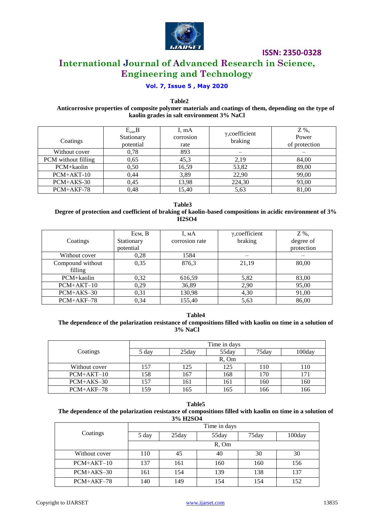

# **International Journal of Advanced Research in Science, Engineering and Technology**

# **Vol. 7, Issue 5 , May 2020**

 **Table2**

#### **Anticorrosive properties of composite polymer materials and coatings of them, depending on the type of kaolin grades in salt environment 3% NaCl**

| Coatings            | $E_{cm}$ , B<br>Stationary<br>potential | I, mA<br>corrosion<br>rate | $\gamma$ , coefficient<br>braking | Z %,<br>Power<br>of protection |
|---------------------|-----------------------------------------|----------------------------|-----------------------------------|--------------------------------|
| Without cover       | 0,78                                    | 893                        |                                   |                                |
| PCM without filling | 0,65                                    | 45,3                       | 2,19                              | 84,00                          |
| PCM+kaolin          | 0,50                                    | 16,59                      | 53,82                             | 89,00                          |
| PCM+AKT-10          | 0.44                                    | 3,89                       | 22,90                             | 99,00                          |
| PCM+AKS-30          | 0.45                                    | 13,98                      | 224,30                            | 93,00                          |
| PCM+AKF-78          | 0.48                                    | 15,40                      | 5,63                              | 81,00                          |

 **Table3**

### **Degree of protection and coefficient of braking of kaolin-based compositions in acidic environment of 3% H2SO4**

|                  | Eсм, B     | 1, мA          | $\gamma$ , coefficient | Z %,       |
|------------------|------------|----------------|------------------------|------------|
| Coatings         | Stationary | corrosion rate | braking                | degree of  |
|                  | potential  |                |                        | protection |
| Without cover    | 0,28       | 1584           |                        |            |
| Compound without | 0.35       | 876,3          | 21,19                  | 80.00      |
| filling          |            |                |                        |            |
| PCM+kaolin       | 0,32       | 616,59         | 5,82                   | 83,00      |
| $PCM+AKT-10$     | 0,29       | 36,89          | 2,90                   | 95,00      |
| PCM+AKS-30       | 0,31       | 130,98         | 4,30                   | 91,00      |
| PCM+AKF-78       | 0.34       | 155,40         | 5.63                   | 86,00      |

**Table4 The dependence of the polarization resistance of compositions filled with kaolin on time in a solution of 3% NaCl** 

|               | Time in days |       |       |       |           |
|---------------|--------------|-------|-------|-------|-----------|
| Coatings      | 5 day        | 25day | 55day | 75day | $100$ dav |
|               |              |       | R. Om |       |           |
| Without cover | 157          | 125   | 125   | 110   | 110       |
| $PCM+AKT-10$  | 158          | 167   | 168   | 170   |           |
| $PCM+AKS-30$  | 157          | 161   | 161   | 160   | 160       |
| $PCM+AKF-78$  | 159          | 165   | 165   | 166   | 166       |

**Table5**

#### **The dependence of the polarization resistance of compositions filled with kaolin on time in a solution of 3% H2SO4**

|               | Time in days |       |            |       |        |
|---------------|--------------|-------|------------|-------|--------|
| Coatings      | 5 day        | 25day | 55day      | 75day | 100day |
|               |              |       | $R$ , $Om$ |       |        |
| Without cover | 110          | 45    | 40         | 30    | 30     |
| $PCM+AKT-10$  | 137          | 161   | 160        | 160   | 156    |
| $PCM+AKS-30$  | 161          | 154   | 139        | 138   | 137    |
| $PCM+AKF-78$  | 140          | 149   | 154        | l 54  | 152    |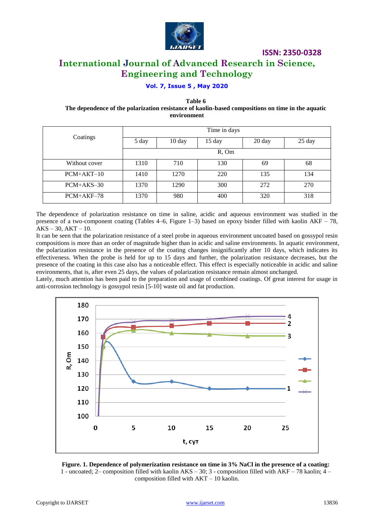

# **International Journal of Advanced Research in Science, Engineering and Technology**

## **Vol. 7, Issue 5 , May 2020**

**Table 6**

**The dependence of the polarization resistance of kaolin-based compositions on time in the aquatic environment**

|               |       |                  | Time in days |        |        |
|---------------|-------|------------------|--------------|--------|--------|
| Coatings      | 5 day | $10 \text{ day}$ | 15 day       | 20 day | 25 day |
|               |       |                  | $R$ , Om     |        |        |
| Without cover | 1310  | 710              | 130          | 69     | 68     |
| $PCM+AKT-10$  | 1410  | 1270             | 220          | 135    | 134    |
| $PCM+AKS-30$  | 1370  | 1290             | 300          | 272    | 270    |
| $PCM+AKF-78$  | 1370  | 980              | 400          | 320    | 318    |

The dependence of polarization resistance on time in saline, acidic and aqueous environment was studied in the presence of a two-component coating (Tables 4–6, Figure 1–3) based on epoxy binder filled with kaolin  $AKF - 78$ ,  $AKS - 30$ ,  $AKT - 10$ .

It can be seen that the polarization resistance of a steel probe in aqueous environment uncoated based on gossypol resin compositions is more than an order of magnitude higher than in acidic and saline environments. In aquatic environment, the polarization resistance in the presence of the coating changes insignificantly after 10 days, which indicates its effectiveness. When the probe is held for up to 15 days and further, the polarization resistance decreases, but the presence of the coating in this case also has a noticeable effect. This effect is especially noticeable in acidic and saline environments, that is, after even 25 days, the values of polarization resistance remain almost unchanged.

Lately, much attention has been paid to the preparation and usage of combined coatings. Of great interest for usage in anti-corrosion technology is gossypol resin [5-10] waste oil and fat production.



**Figure. 1. Dependence of polymerization resistance on time in 3% NaCl in the presence of a coating:** 1 - uncoated; 2– composition filled with kaolin AKS – 30; 3 - composition filled with AKF – 78 kaolin; 4 – composition filled with AKT – 10 kaolin.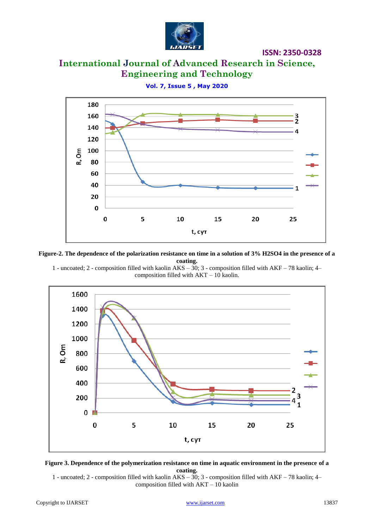

**ISSN: 2350-0328**

# **International Journal of Advanced Research in Science, Engineering and Technology**

**Vol. 7, Issue 5 , May 2020**



**Figure-2. The dependence of the polarization resistance on time in a solution of 3% H2SO4 in the presence of a coating.**

1 - uncoated; 2 - composition filled with kaolin AKS – 30; 3 - composition filled with AKF – 78 kaolin; 4– composition filled with AKT – 10 kaolin.





1 - uncoated; 2 - composition filled with kaolin AKS – 30; 3 - composition filled with AKF – 78 kaolin; 4– composition filled with AKT – 10 kaolin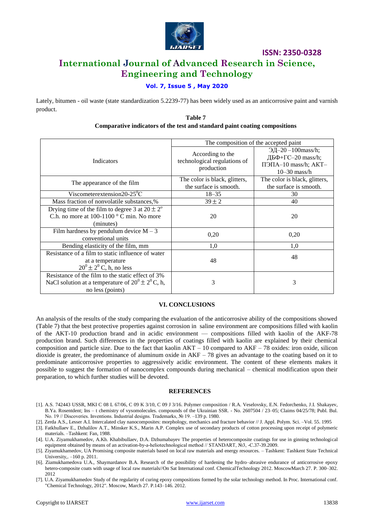

# **ISSN: 2350-0328 International Journal of Advanced Research in Science, Engineering and Technology**

## **Vol. 7, Issue 5 , May 2020**

Lately, bitumen - oil waste (state standardization 5.2239-77) has been widely used as an anticorrosive paint and varnish product.

#### **Table 7 Comparative indicators of the test and standard paint coating compositions**

|                                                                                                                                 | The composition of the accepted paint                          |                                                                                          |  |
|---------------------------------------------------------------------------------------------------------------------------------|----------------------------------------------------------------|------------------------------------------------------------------------------------------|--|
| <b>Indicators</b>                                                                                                               | According to the<br>technological regulations of<br>production | $9\mu - 20 - 100$ mass/h;<br>ДБФ+ГС-20 mass/h;<br>ПЭПА-10 mass/h; AKT-<br>$10-30$ mass/h |  |
| The appearance of the film                                                                                                      | The color is black, glitters,<br>the surface is smooth.        | The color is black, glitters,<br>the surface is smooth.                                  |  |
| Viscometerextension20-25 $^0C$                                                                                                  | $18 - 35$                                                      | 30                                                                                       |  |
| Mass fraction of nonvolatile substances,%                                                                                       | $39 \pm 2$                                                     | 40                                                                                       |  |
| Drying time of the film to degree 3 at $20 \pm 2^{\circ}$<br>C.h. no more at $100-1100$ ° C min. No more<br>(minutes)           | 20                                                             | 20                                                                                       |  |
| Film hardness by pendulum device $M - 3$<br>conventional units                                                                  | 0,20                                                           | 0.20                                                                                     |  |
| Bending elasticity of the film, mm                                                                                              | 1,0                                                            | 1,0                                                                                      |  |
| Resistance of a film to static influence of water<br>at a temperature<br>$20^0 \pm 2^0$ C, h, no less                           | 48                                                             | 48                                                                                       |  |
| Resistance of the film to the static effect of 3%<br>NaCl solution at a temperature of $20^0 \pm 2^0$ C, h,<br>no less (points) | 3                                                              | 3                                                                                        |  |

#### **VI. CONCLUSIONS**

An analysis of the results of the study comparing the evaluation of the anticorrosive ability of the compositions showed (Table 7) that the best protective properties against corrosion in saline environment are compositions filled with kaolin of the AKT-10 production brand and in acidic environment — compositions filled with kaolin of the AKF-78 production brand. Such differences in the properties of coatings filled with kaolin are explained by their chemical composition and particle size. Due to the fact that kaolin  $AKT - 10$  compared to  $AKF - 78$  oxides: iron oxide, silicon dioxide is greater, the predominance of aluminum oxide in  $AKF - 78$  gives an advantage to the coating based on it to predominate anticorrosive properties to aggressively acidic environment. The content of these elements makes it possible to suggest the formation of nanocomplex compounds during mechanical – chemical modification upon their preparation, to which further studies will be devoted.

#### **REFERENCES**

- [1]. A.S. 742443 USSR, MKI C 08 L 67/06, C 09 K 3/10, C 09 J 3/16. Polymer composition / R.A. Veselovsky, E.N. Fedorchenko, J.I. Shakayev, B.Ya. Rosentdent; Ins – t chemistry of vysomolecules. compounds of the Ukrainian SSR. - No. 2607504 / 23–05; Claims 04/25/78; Publ. Bul. No. 19 // Discoveries. Inventions. Industrial designs. Trademarks, № 19. –139 p. 1980.
- [2]. Zerda A.S., Lesser A.I. Intercalated clay nanocomposites: morphology, mechanics and fracture behavior // J. Appl. Polym. Sci. –Vol. 55. 1995
- [3]. Fatkhullaev E., Dzhalilov A.T., Minsker K.S., Marin A.P. Complex use of secondary products of cotton processing upon receipt of polymeric materials. –Tashkent: Fan, 1988.
- [4]. U.A. Ziyamukhamedov, A.Kh. Khabibullaev, D.A. Dzhumabayev The properties of heterocomposite coatings for use in ginning technological equipment obtained by means of an activation-by-a-heliotechnological method // STANDART, №3, -С.37-39.2009.
- [5]. Ziyamukhamedov, UA Promising composite materials based on local raw materials and energy resources. Tashkent: Tashkent State Technical University,. –160 p. 2011.
- [6]. Ziamukhamedova U.A., Shaymardanov B.A. Research of the possibility of hardening the hydro–abrasive endurance of anticorrosive epoxy hetero-composite coats with usage of local raw materials//On Sat International conf. ChemicalTechnology 2012. MoscowMarch 27. P. 300–302. 2012
- [7]. U.A. Ziyamukhamedov Study of the regularity of curing epoxy compositions formed by the solar technology method. In Proc. International conf. "Chemical Technology, 2012". Moscow, March 27. P.143–146. 2012.